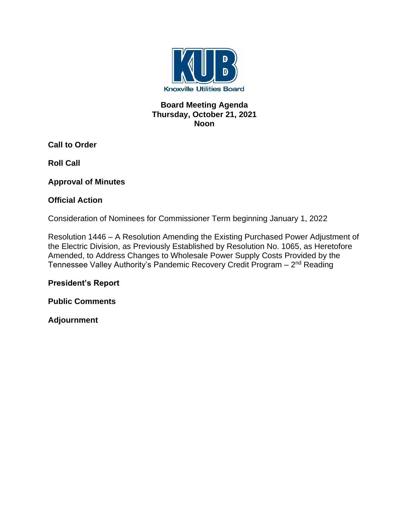

### **Board Meeting Agenda Thursday, October 21, 2021 Noon**

**Call to Order**

**Roll Call**

**Approval of Minutes**

### **Official Action**

Consideration of Nominees for Commissioner Term beginning January 1, 2022

Resolution 1446 – A Resolution Amending the Existing Purchased Power Adjustment of the Electric Division, as Previously Established by Resolution No. 1065, as Heretofore Amended, to Address Changes to Wholesale Power Supply Costs Provided by the Tennessee Valley Authority's Pandemic Recovery Credit Program – 2<sup>nd</sup> Reading

# **President's Report**

**Public Comments**

**Adjournment**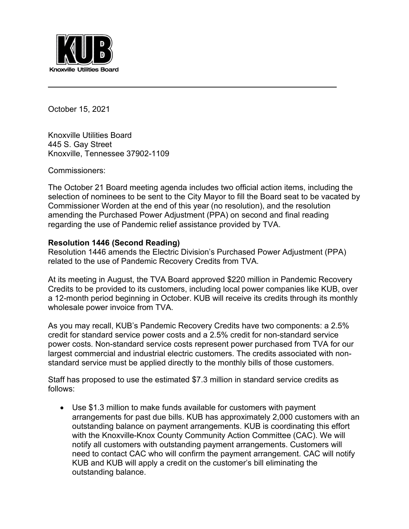

October 15, 2021

Knoxville Utilities Board 445 S. Gay Street Knoxville, Tennessee 37902-1109

Commissioners:

The October 21 Board meeting agenda includes two official action items, including the selection of nominees to be sent to the City Mayor to fill the Board seat to be vacated by Commissioner Worden at the end of this year (no resolution), and the resolution amending the Purchased Power Adjustment (PPA) on second and final reading regarding the use of Pandemic relief assistance provided by TVA.

#### **Resolution 1446 (Second Reading)**

Resolution 1446 amends the Electric Division's Purchased Power Adjustment (PPA) related to the use of Pandemic Recovery Credits from TVA.

At its meeting in August, the TVA Board approved \$220 million in Pandemic Recovery Credits to be provided to its customers, including local power companies like KUB, over a 12-month period beginning in October. KUB will receive its credits through its monthly wholesale power invoice from TVA.

As you may recall, KUB's Pandemic Recovery Credits have two components: a 2.5% credit for standard service power costs and a 2.5% credit for non-standard service power costs. Non-standard service costs represent power purchased from TVA for our largest commercial and industrial electric customers. The credits associated with nonstandard service must be applied directly to the monthly bills of those customers.

Staff has proposed to use the estimated \$7.3 million in standard service credits as follows:

• Use \$1.3 million to make funds available for customers with payment arrangements for past due bills. KUB has approximately 2,000 customers with an outstanding balance on payment arrangements. KUB is coordinating this effort with the Knoxville-Knox County Community Action Committee (CAC). We will notify all customers with outstanding payment arrangements. Customers will need to contact CAC who will confirm the payment arrangement. CAC will notify KUB and KUB will apply a credit on the customer's bill eliminating the outstanding balance.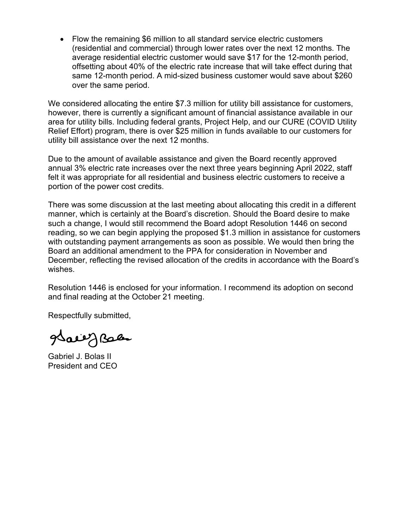• Flow the remaining \$6 million to all standard service electric customers (residential and commercial) through lower rates over the next 12 months. The average residential electric customer would save \$17 for the 12-month period, offsetting about 40% of the electric rate increase that will take effect during that same 12-month period. A mid-sized business customer would save about \$260 over the same period.

We considered allocating the entire \$7.3 million for utility bill assistance for customers, however, there is currently a significant amount of financial assistance available in our area for utility bills. Including federal grants, Project Help, and our CURE (COVID Utility Relief Effort) program, there is over \$25 million in funds available to our customers for utility bill assistance over the next 12 months.

Due to the amount of available assistance and given the Board recently approved annual 3% electric rate increases over the next three years beginning April 2022, staff felt it was appropriate for all residential and business electric customers to receive a portion of the power cost credits.

There was some discussion at the last meeting about allocating this credit in a different manner, which is certainly at the Board's discretion. Should the Board desire to make such a change, I would still recommend the Board adopt Resolution 1446 on second reading, so we can begin applying the proposed \$1.3 million in assistance for customers with outstanding payment arrangements as soon as possible. We would then bring the Board an additional amendment to the PPA for consideration in November and December, reflecting the revised allocation of the credits in accordance with the Board's wishes.

Resolution 1446 is enclosed for your information. I recommend its adoption on second and final reading at the October 21 meeting.

Respectfully submitted,

gdaeeg Bales

Gabriel J. Bolas II President and CEO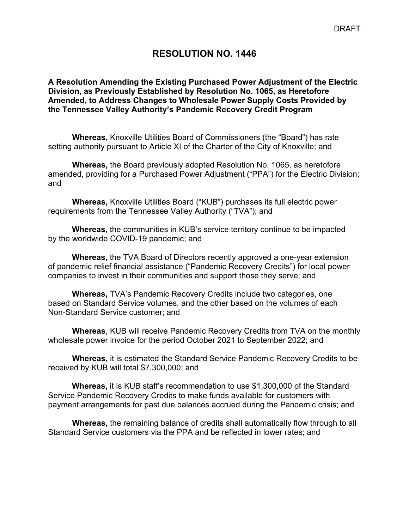# **RESOLUTION NO. 1446**

**A Resolution Amending the Existing Purchased Power Adjustment of the Electric Division, as Previously Established by Resolution No. 1065, as Heretofore Amended, to Address Changes to Wholesale Power Supply Costs Provided by the Tennessee Valley Authority's Pandemic Recovery Credit Program**

**Whereas,** Knoxville Utilities Board of Commissioners (the "Board") has rate setting authority pursuant to Article XI of the Charter of the City of Knoxville; and

**Whereas,** the Board previously adopted Resolution No. 1065, as heretofore amended, providing for a Purchased Power Adjustment ("PPA") for the Electric Division; and

**Whereas,** Knoxville Utilities Board ("KUB") purchases its full electric power requirements from the Tennessee Valley Authority ("TVA"); and

**Whereas,** the communities in KUB's service territory continue to be impacted by the worldwide COVID-19 pandemic; and

**Whereas,** the TVA Board of Directors recently approved a one-year extension of pandemic relief financial assistance ("Pandemic Recovery Credits") for local power companies to invest in their communities and support those they serve; and

**Whereas,** TVA's Pandemic Recovery Credits include two categories, one based on Standard Service volumes, and the other based on the volumes of each Non-Standard Service customer; and

**Whereas**, KUB will receive Pandemic Recovery Credits from TVA on the monthly wholesale power invoice for the period October 2021 to September 2022; and

**Whereas,** it is estimated the Standard Service Pandemic Recovery Credits to be received by KUB will total \$7,300,000; and

**Whereas,** it is KUB staff's recommendation to use \$1,300,000 of the Standard Service Pandemic Recovery Credits to make funds available for customers with payment arrangements for past due balances accrued during the Pandemic crisis; and

**Whereas,** the remaining balance of credits shall automatically flow through to all Standard Service customers via the PPA and be reflected in lower rates; and